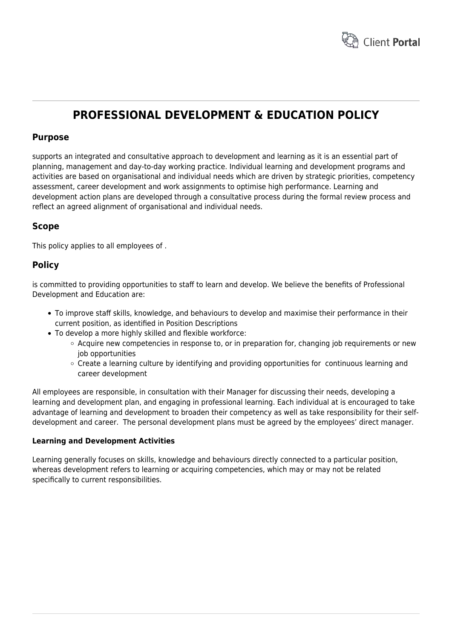

# **PROFESSIONAL DEVELOPMENT & EDUCATION POLICY**

## **Purpose**

supports an integrated and consultative approach to development and learning as it is an essential part of planning, management and day-to-day working practice. Individual learning and development programs and activities are based on organisational and individual needs which are driven by strategic priorities, competency assessment, career development and work assignments to optimise high performance. Learning and development action plans are developed through a consultative process during the formal review process and reflect an agreed alignment of organisational and individual needs.

## **Scope**

This policy applies to all employees of .

## **Policy**

is committed to providing opportunities to staff to learn and develop. We believe the benefits of Professional Development and Education are:

- To improve staff skills, knowledge, and behaviours to develop and maximise their performance in their current position, as identified in Position Descriptions
- To develop a more highly skilled and flexible workforce:
	- $\circ$  Acquire new competencies in response to, or in preparation for, changing job requirements or new job opportunities
	- $\circ$  Create a learning culture by identifying and providing opportunities for continuous learning and career development

All employees are responsible, in consultation with their Manager for discussing their needs, developing a learning and development plan, and engaging in professional learning. Each individual at is encouraged to take advantage of learning and development to broaden their competency as well as take responsibility for their selfdevelopment and career. The personal development plans must be agreed by the employees' direct manager.

### **Learning and Development Activities**

Learning generally focuses on skills, knowledge and behaviours directly connected to a particular position, whereas development refers to learning or acquiring competencies, which may or may not be related specifically to current responsibilities.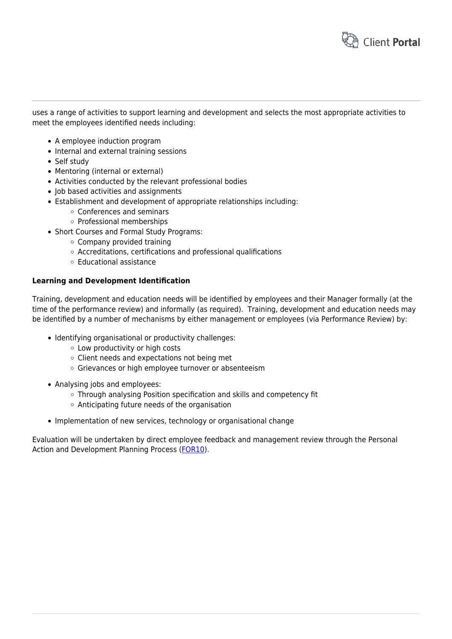

uses a range of activities to support learning and development and selects the most appropriate activities to meet the employees identified needs including:

- A employee induction program
- Internal and external training sessions
- Self study
- Mentoring (internal or external)
- Activities conducted by the relevant professional bodies
- Job based activities and assignments
- Establishment and development of appropriate relationships including:
	- Conferences and seminars
	- Professional memberships
- Short Courses and Formal Study Programs:
	- Company provided training
	- Accreditations, certifications and professional qualifications
	- Educational assistance

### **Learning and Development Identification**

Training, development and education needs will be identified by employees and their Manager formally (at the time of the performance review) and informally (as required). Training, development and education needs may be identified by a number of mechanisms by either management or employees (via Performance Review) by:

- Identifying organisational or productivity challenges:
	- Low productivity or high costs
	- $\circ$  Client needs and expectations not being met
	- o Grievances or high employee turnover or absenteeism
- Analysing jobs and employees:
	- Through analysing Position specification and skills and competency fit
	- Anticipating future needs of the organisation
- Implementation of new services, technology or organisational change

Evaluation will be undertaken by direct employee feedback and management review through the Personal Action and Development Planning Process [\(FOR10](https://www.hrtemplates.com.au/form_templates/hr-for10-padp-review-part-1/)).